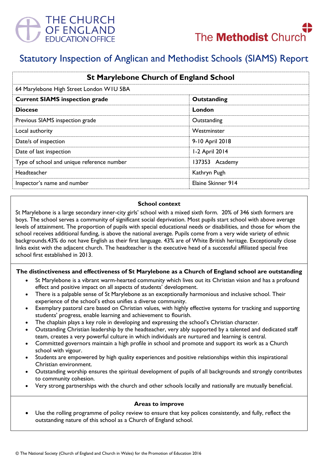



# Statutory Inspection of Anglican and Methodist Schools (SIAMS) Report

| <b>St Marylebone Church of England School</b><br>64 Marylebone High Street London WIU 5BA |                    |
|-------------------------------------------------------------------------------------------|--------------------|
|                                                                                           |                    |
| <b>Diocese</b>                                                                            | London             |
| Previous SIAMS inspection grade                                                           | Outstanding        |
| Local authority                                                                           | Westminster        |
| Date/s of inspection                                                                      | 9-10 April 2018    |
| Date of last inspection                                                                   | 1-2 April 2014     |
| Type of school and unique reference number                                                | 137353 Academy     |
| Headteacher                                                                               | Kathryn Pugh       |
| Inspector's name and number                                                               | Elaine Skinner 914 |

#### **School context**

St Marylebone is a large secondary inner-city girls' school with a mixed sixth form. 20% of 346 sixth formers are boys. The school serves a community of significant social deprivation. Most pupils start school with above average levels of attainment. The proportion of pupils with special educational needs or disabilities, and those for whom the school receives additional funding, is above the national average. Pupils come from a very wide variety of ethnic backgrounds.43% do not have English as their first language. 43% are of White British heritage. Exceptionally close links exist with the adjacent church. The headteacher is the executive head of a successful affiliated special free school first established in 2013.

#### **The distinctiveness and effectiveness of St Marylebone as a Church of England school are outstanding**

- St Marylebone is a vibrant warm-hearted community which lives out its Christian vision and has a profound effect and positive impact on all aspects of students' development.
- There is a palpable sense of St Marylebone as an exceptionally harmonious and inclusive school. Their experience of the school's ethos unifies a diverse community.
- Exemplary pastoral care based on Christian values, with highly effective systems for tracking and supporting students' progress, enable learning and achievement to flourish.
- The chaplain plays a key role in developing and expressing the school's Christian character.
- Outstanding Christian leadership by the headteacher, very ably supported by a talented and dedicated staff team, creates a very powerful culture in which individuals are nurtured and learning is central.
- Committed governors maintain a high profile in school and promote and support its work as a Church school with vigour.
- Students are empowered by high quality experiences and positive relationships within this inspirational Christian environment.
- Outstanding worship ensures the spiritual development of pupils of all backgrounds and strongly contributes to community cohesion.
- Very strong partnerships with the church and other schools locally and nationally are mutually beneficial.

#### **Areas to improve**

 Use the rolling programme of policy review to ensure that key polices consistently, and fully, reflect the outstanding nature of this school as a Church of England school.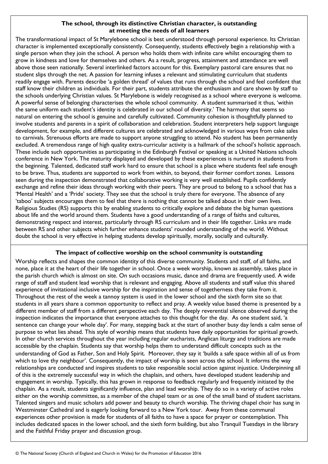## **The school, through its distinctive Christian character, is outstanding at meeting the needs of all learners**

The transformational impact of St Marylebone school is best understood through personal experience. Its Christian character is implemented exceptionally consistently. Consequently, students effectively begin a relationship with a single person when they join the school. A person who holds them with infinite care whilst encouraging them to grow in kindness and love for themselves and others. As a result, progress, attainment and attendance are well above those seen nationally. Several interlinked factors account for this. Exemplary pastoral care ensures that no student slips through the net. A passion for learning infuses a relevant and stimulating curriculum that students readily engage with. Parents describe 'a golden thread' of values that runs through the school and feel confident that staff know their children as individuals. For their part, students attribute the enthusiasm and care shown by staff to the schools underlying Christian values. St Marylebone is widely recognised as a school where everyone is welcome. A powerful sense of belonging characterises the whole school community. A student summarised it thus, 'within the same uniform each student's identity is celebrated in our school of diversity.' The harmony that seems so natural on entering the school is genuine and carefully cultivated. Community cohesion is thoughtfully planned to involve students and parents in a spirit of collaboration and celebration. Student interpreters help support language development, for example, and different cultures are celebrated and acknowledged in various ways from cake sales to carnivals. Strenuous efforts are made to support anyone struggling to attend. No student has been permanently excluded. A tremendous range of high quality extra-curricular activity is a hallmark of the school's holistic approach. These include such opportunities as participating in the Edinburgh Festival or speaking at a United Nations schools conference in New York. The maturity displayed and developed by these experiences is nurtured in students from the beginning. Talented, dedicated staff work hard to ensure that school is a place where students feel safe enough to be brave. Thus, students are supported to work from within, to beyond, their former comfort zones. Lessons seen during the inspection demonstrated that collaborative working is very well established. Pupils confidently exchange and refine their ideas through working with their peers. They are proud to belong to a school that has a 'Mental Health' and a 'Pride' society. They see that the school is truly there for everyone. The absence of any 'taboo' subjects encourages them to feel that there is nothing that cannot be talked about in their own lives. Religious Studies (RS) supports this by enabling students to critically explore and debate the big human questions about life and the world around them. Students have a good understanding of a range of faiths and cultures, demonstrating respect and interest, particularly through RS curriculum and in their life together. Links are made between RS and other subjects which further enhance students' rounded understanding of the world. Without doubt the school is very effective in helping students develop spiritually, morally, socially and culturally.

## **The impact of collective worship on the school community is outstanding**

Worship reflects and shapes the common identity of this diverse community. Students and staff, of all faiths, and none, place it at the heart of their life together in school. Once a week worship, known as assembly, takes place in the parish church which is almost on site. On such occasions music, dance and drama are frequently used. A wide range of staff and student lead worship that is relevant and engaging. Above all students and staff value this shared experience of invitational inclusive worship for the inspiration and sense of togetherness they take from it. Throughout the rest of the week a tannoy system is used in the lower school and the sixth form site so that students in all years share a common opportunity to reflect and pray. A weekly value based theme is presented by a different member of staff from a different perspective each day. The deeply reverential silence observed during the inspection indicates the importance that everyone attaches to this thought for the day. As one student said, 'a sentence can change your whole day'. For many, stepping back at the start of another busy day lends a calm sense of purpose to what lies ahead. This style of worship means that students have daily opportunities for spiritual growth. In other church services throughout the year including regular eucharists, Anglican liturgy and traditions are made accessible by the chaplain. Students say that worship helps them to understand difficult concepts such as the understanding of God as Father, Son and Holy Spirit. Moreover, they say it 'builds a safe space within all of us from which to love thy neighbour'. Consequently, the impact of worship is seen across the school. It informs the way relationships are conducted and inspires students to take responsible social action against injustice. Underpinning all of this is the extremely successful way in which the chaplain, and others, have developed student leadership and engagement in worship. Typically, this has grown in response to feedback regularly and frequently initiated by the chaplain. As a result, students significantly influence, plan and lead worship. They do so in a variety of active roles either on the worship committee, as a member of the chapel team or as one of the small band of student sacristans. Talented singers and music scholars add power and beauty to church worship. The thriving chapel choir has sung in Westminster Cathedral and is eagerly looking forward to a New York tour. Away from these communal experiences other provision is made for students of all faiths to have a space for prayer or contemplation. This includes dedicated spaces in the lower school, and the sixth form building, but also Tranquil Tuesdays in the library and the Faithful Friday prayer and discussion group.